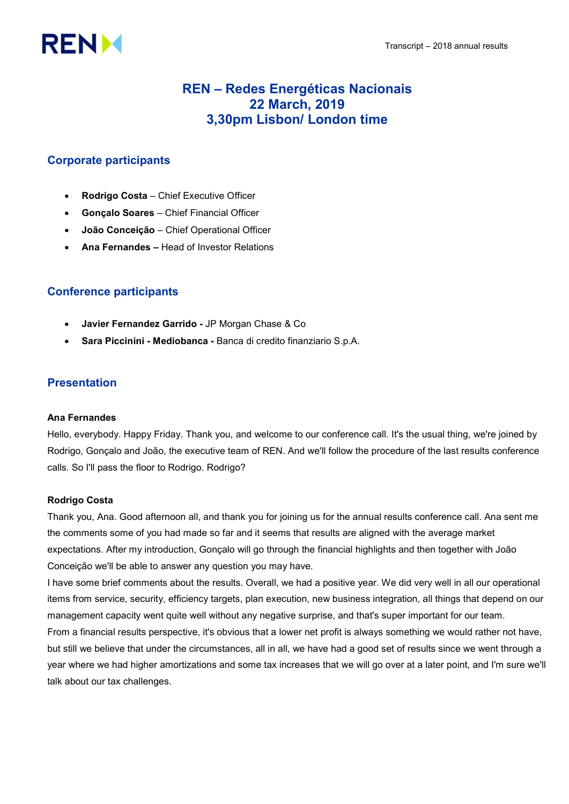# **RENM**

# REN – Redes Energéticas Nacionais 22 March, 2019 3,30pm Lisbon/ London time

# Corporate participants

- Rodrigo Costa Chief Executive Officer
- Gonçalo Soares Chief Financial Officer
- João Conceição Chief Operational Officer
- Ana Fernandes Head of Investor Relations

# Conference participants

- Javier Fernandez Garrido JP Morgan Chase & Co
- Sara Piccinini Mediobanca Banca di credito finanziario S.p.A.

# Presentation

# Ana Fernandes

Hello, everybody. Happy Friday. Thank you, and welcome to our conference call. It's the usual thing, we're joined by Rodrigo, Gonçalo and João, the executive team of REN. And we'll follow the procedure of the last results conference calls. So I'll pass the floor to Rodrigo. Rodrigo?

# Rodrigo Costa

Thank you, Ana. Good afternoon all, and thank you for joining us for the annual results conference call. Ana sent me the comments some of you had made so far and it seems that results are aligned with the average market expectations. After my introduction, Gonçalo will go through the financial highlights and then together with João Conceição we'll be able to answer any question you may have.

I have some brief comments about the results. Overall, we had a positive year. We did very well in all our operational items from service, security, efficiency targets, plan execution, new business integration, all things that depend on our management capacity went quite well without any negative surprise, and that's super important for our team.

From a financial results perspective, it's obvious that a lower net profit is always something we would rather not have, but still we believe that under the circumstances, all in all, we have had a good set of results since we went through a year where we had higher amortizations and some tax increases that we will go over at a later point, and I'm sure we'll talk about our tax challenges.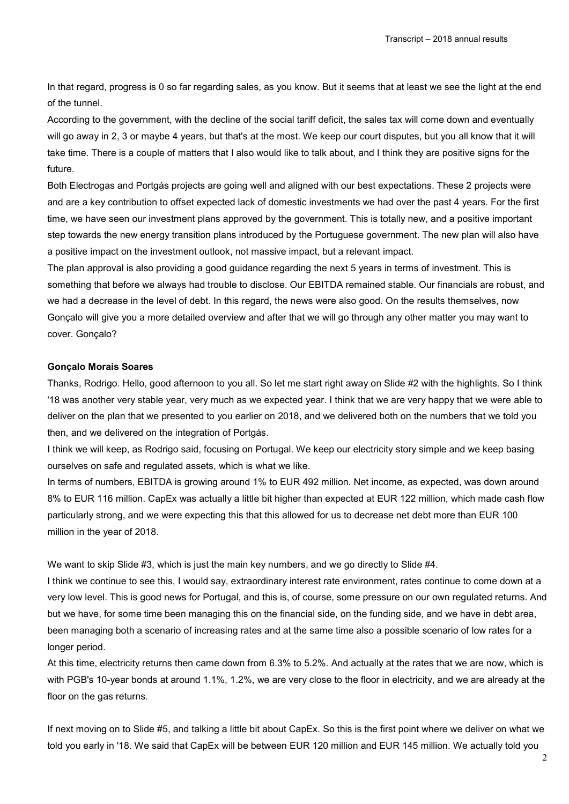In that regard, progress is 0 so far regarding sales, as you know. But it seems that at least we see the light at the end of the tunnel.

According to the government, with the decline of the social tariff deficit, the sales tax will come down and eventually will go away in 2, 3 or maybe 4 years, but that's at the most. We keep our court disputes, but you all know that it will take time. There is a couple of matters that I also would like to talk about, and I think they are positive signs for the future.

Both Electrogas and Portgás projects are going well and aligned with our best expectations. These 2 projects were and are a key contribution to offset expected lack of domestic investments we had over the past 4 years. For the first time, we have seen our investment plans approved by the government. This is totally new, and a positive important step towards the new energy transition plans introduced by the Portuguese government. The new plan will also have a positive impact on the investment outlook, not massive impact, but a relevant impact.

The plan approval is also providing a good guidance regarding the next 5 years in terms of investment. This is something that before we always had trouble to disclose. Our EBITDA remained stable. Our financials are robust, and we had a decrease in the level of debt. In this regard, the news were also good. On the results themselves, now Gonçalo will give you a more detailed overview and after that we will go through any other matter you may want to cover. Gonçalo?

#### Gonçalo Morais Soares

Thanks, Rodrigo. Hello, good afternoon to you all. So let me start right away on Slide #2 with the highlights. So I think '18 was another very stable year, very much as we expected year. I think that we are very happy that we were able to deliver on the plan that we presented to you earlier on 2018, and we delivered both on the numbers that we told you then, and we delivered on the integration of Portgás.

I think we will keep, as Rodrigo said, focusing on Portugal. We keep our electricity story simple and we keep basing ourselves on safe and regulated assets, which is what we like.

In terms of numbers, EBITDA is growing around 1% to EUR 492 million. Net income, as expected, was down around 8% to EUR 116 million. CapEx was actually a little bit higher than expected at EUR 122 million, which made cash flow particularly strong, and we were expecting this that this allowed for us to decrease net debt more than EUR 100 million in the year of 2018.

We want to skip Slide #3, which is just the main key numbers, and we go directly to Slide #4.

I think we continue to see this, I would say, extraordinary interest rate environment, rates continue to come down at a very low level. This is good news for Portugal, and this is, of course, some pressure on our own regulated returns. And but we have, for some time been managing this on the financial side, on the funding side, and we have in debt area, been managing both a scenario of increasing rates and at the same time also a possible scenario of low rates for a longer period.

At this time, electricity returns then came down from 6.3% to 5.2%. And actually at the rates that we are now, which is with PGB's 10-year bonds at around 1.1%, 1.2%, we are very close to the floor in electricity, and we are already at the floor on the gas returns.

If next moving on to Slide #5, and talking a little bit about CapEx. So this is the first point where we deliver on what we told you early in '18. We said that CapEx will be between EUR 120 million and EUR 145 million. We actually told you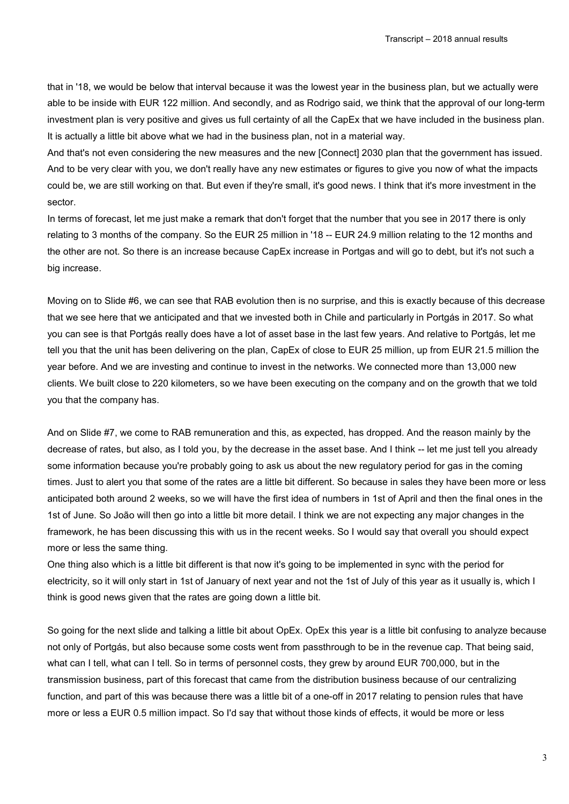that in '18, we would be below that interval because it was the lowest year in the business plan, but we actually were able to be inside with EUR 122 million. And secondly, and as Rodrigo said, we think that the approval of our long-term investment plan is very positive and gives us full certainty of all the CapEx that we have included in the business plan. It is actually a little bit above what we had in the business plan, not in a material way.

And that's not even considering the new measures and the new [Connect] 2030 plan that the government has issued. And to be very clear with you, we don't really have any new estimates or figures to give you now of what the impacts could be, we are still working on that. But even if they're small, it's good news. I think that it's more investment in the sector.

In terms of forecast, let me just make a remark that don't forget that the number that you see in 2017 there is only relating to 3 months of the company. So the EUR 25 million in '18 -- EUR 24.9 million relating to the 12 months and the other are not. So there is an increase because CapEx increase in Portgas and will go to debt, but it's not such a big increase.

Moving on to Slide #6, we can see that RAB evolution then is no surprise, and this is exactly because of this decrease that we see here that we anticipated and that we invested both in Chile and particularly in Portgás in 2017. So what you can see is that Portgás really does have a lot of asset base in the last few years. And relative to Portgás, let me tell you that the unit has been delivering on the plan, CapEx of close to EUR 25 million, up from EUR 21.5 million the year before. And we are investing and continue to invest in the networks. We connected more than 13,000 new clients. We built close to 220 kilometers, so we have been executing on the company and on the growth that we told you that the company has.

And on Slide #7, we come to RAB remuneration and this, as expected, has dropped. And the reason mainly by the decrease of rates, but also, as I told you, by the decrease in the asset base. And I think -- let me just tell you already some information because you're probably going to ask us about the new regulatory period for gas in the coming times. Just to alert you that some of the rates are a little bit different. So because in sales they have been more or less anticipated both around 2 weeks, so we will have the first idea of numbers in 1st of April and then the final ones in the 1st of June. So João will then go into a little bit more detail. I think we are not expecting any major changes in the framework, he has been discussing this with us in the recent weeks. So I would say that overall you should expect more or less the same thing.

One thing also which is a little bit different is that now it's going to be implemented in sync with the period for electricity, so it will only start in 1st of January of next year and not the 1st of July of this year as it usually is, which I think is good news given that the rates are going down a little bit.

So going for the next slide and talking a little bit about OpEx. OpEx this year is a little bit confusing to analyze because not only of Portgás, but also because some costs went from passthrough to be in the revenue cap. That being said, what can I tell, what can I tell. So in terms of personnel costs, they grew by around EUR 700,000, but in the transmission business, part of this forecast that came from the distribution business because of our centralizing function, and part of this was because there was a little bit of a one-off in 2017 relating to pension rules that have more or less a EUR 0.5 million impact. So I'd say that without those kinds of effects, it would be more or less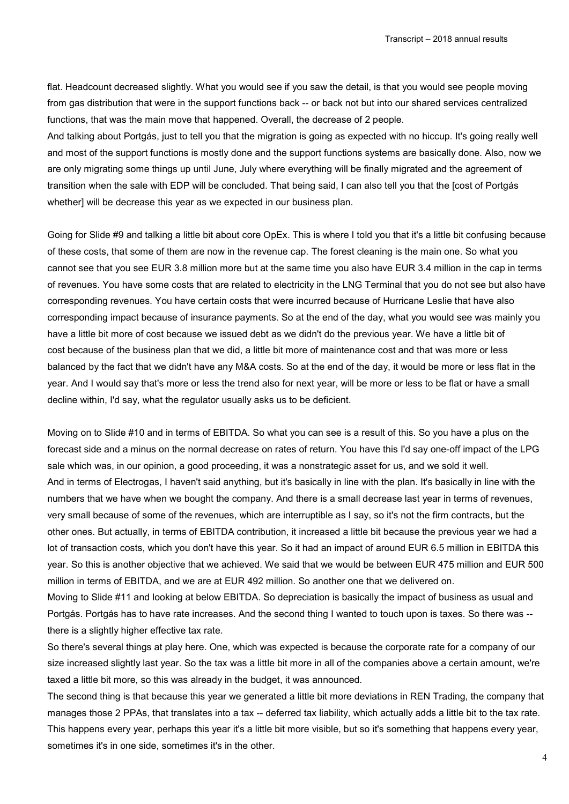flat. Headcount decreased slightly. What you would see if you saw the detail, is that you would see people moving from gas distribution that were in the support functions back -- or back not but into our shared services centralized functions, that was the main move that happened. Overall, the decrease of 2 people.

And talking about Portgás, just to tell you that the migration is going as expected with no hiccup. It's going really well and most of the support functions is mostly done and the support functions systems are basically done. Also, now we are only migrating some things up until June, July where everything will be finally migrated and the agreement of transition when the sale with EDP will be concluded. That being said, I can also tell you that the [cost of Portgás whether] will be decrease this year as we expected in our business plan.

Going for Slide #9 and talking a little bit about core OpEx. This is where I told you that it's a little bit confusing because of these costs, that some of them are now in the revenue cap. The forest cleaning is the main one. So what you cannot see that you see EUR 3.8 million more but at the same time you also have EUR 3.4 million in the cap in terms of revenues. You have some costs that are related to electricity in the LNG Terminal that you do not see but also have corresponding revenues. You have certain costs that were incurred because of Hurricane Leslie that have also corresponding impact because of insurance payments. So at the end of the day, what you would see was mainly you have a little bit more of cost because we issued debt as we didn't do the previous year. We have a little bit of cost because of the business plan that we did, a little bit more of maintenance cost and that was more or less balanced by the fact that we didn't have any M&A costs. So at the end of the day, it would be more or less flat in the year. And I would say that's more or less the trend also for next year, will be more or less to be flat or have a small decline within, I'd say, what the regulator usually asks us to be deficient.

Moving on to Slide #10 and in terms of EBITDA. So what you can see is a result of this. So you have a plus on the forecast side and a minus on the normal decrease on rates of return. You have this I'd say one-off impact of the LPG sale which was, in our opinion, a good proceeding, it was a nonstrategic asset for us, and we sold it well. And in terms of Electrogas, I haven't said anything, but it's basically in line with the plan. It's basically in line with the numbers that we have when we bought the company. And there is a small decrease last year in terms of revenues, very small because of some of the revenues, which are interruptible as I say, so it's not the firm contracts, but the other ones. But actually, in terms of EBITDA contribution, it increased a little bit because the previous year we had a lot of transaction costs, which you don't have this year. So it had an impact of around EUR 6.5 million in EBITDA this year. So this is another objective that we achieved. We said that we would be between EUR 475 million and EUR 500 million in terms of EBITDA, and we are at EUR 492 million. So another one that we delivered on.

Moving to Slide #11 and looking at below EBITDA. So depreciation is basically the impact of business as usual and Portgás. Portgás has to have rate increases. And the second thing I wanted to touch upon is taxes. So there was - there is a slightly higher effective tax rate.

So there's several things at play here. One, which was expected is because the corporate rate for a company of our size increased slightly last year. So the tax was a little bit more in all of the companies above a certain amount, we're taxed a little bit more, so this was already in the budget, it was announced.

The second thing is that because this year we generated a little bit more deviations in REN Trading, the company that manages those 2 PPAs, that translates into a tax -- deferred tax liability, which actually adds a little bit to the tax rate. This happens every year, perhaps this year it's a little bit more visible, but so it's something that happens every year, sometimes it's in one side, sometimes it's in the other.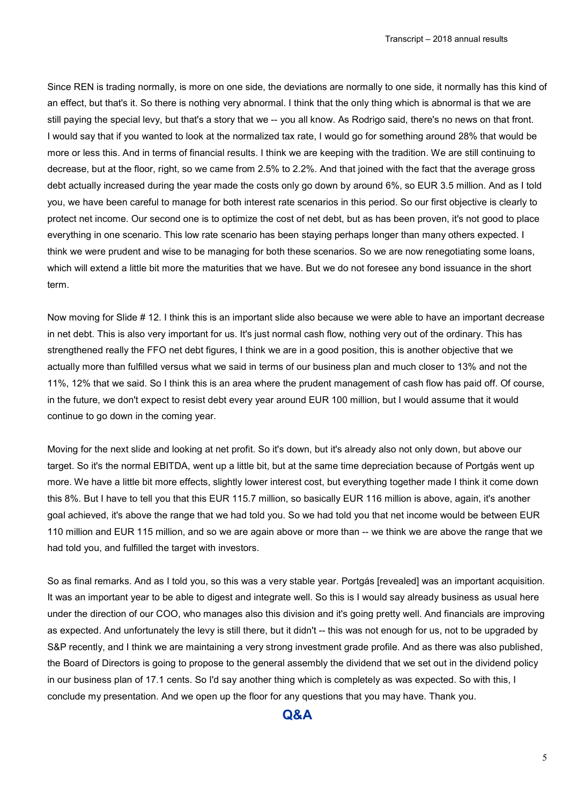Since REN is trading normally, is more on one side, the deviations are normally to one side, it normally has this kind of an effect, but that's it. So there is nothing very abnormal. I think that the only thing which is abnormal is that we are still paying the special levy, but that's a story that we -- you all know. As Rodrigo said, there's no news on that front. I would say that if you wanted to look at the normalized tax rate, I would go for something around 28% that would be more or less this. And in terms of financial results. I think we are keeping with the tradition. We are still continuing to decrease, but at the floor, right, so we came from 2.5% to 2.2%. And that joined with the fact that the average gross debt actually increased during the year made the costs only go down by around 6%, so EUR 3.5 million. And as I told you, we have been careful to manage for both interest rate scenarios in this period. So our first objective is clearly to protect net income. Our second one is to optimize the cost of net debt, but as has been proven, it's not good to place everything in one scenario. This low rate scenario has been staying perhaps longer than many others expected. I think we were prudent and wise to be managing for both these scenarios. So we are now renegotiating some loans, which will extend a little bit more the maturities that we have. But we do not foresee any bond issuance in the short term.

Now moving for Slide # 12. I think this is an important slide also because we were able to have an important decrease in net debt. This is also very important for us. It's just normal cash flow, nothing very out of the ordinary. This has strengthened really the FFO net debt figures, I think we are in a good position, this is another objective that we actually more than fulfilled versus what we said in terms of our business plan and much closer to 13% and not the 11%, 12% that we said. So I think this is an area where the prudent management of cash flow has paid off. Of course, in the future, we don't expect to resist debt every year around EUR 100 million, but I would assume that it would continue to go down in the coming year.

Moving for the next slide and looking at net profit. So it's down, but it's already also not only down, but above our target. So it's the normal EBITDA, went up a little bit, but at the same time depreciation because of Portgás went up more. We have a little bit more effects, slightly lower interest cost, but everything together made I think it come down this 8%. But I have to tell you that this EUR 115.7 million, so basically EUR 116 million is above, again, it's another goal achieved, it's above the range that we had told you. So we had told you that net income would be between EUR 110 million and EUR 115 million, and so we are again above or more than -- we think we are above the range that we had told you, and fulfilled the target with investors.

So as final remarks. And as I told you, so this was a very stable year. Portgás [revealed] was an important acquisition. It was an important year to be able to digest and integrate well. So this is I would say already business as usual here under the direction of our COO, who manages also this division and it's going pretty well. And financials are improving as expected. And unfortunately the levy is still there, but it didn't -- this was not enough for us, not to be upgraded by S&P recently, and I think we are maintaining a very strong investment grade profile. And as there was also published, the Board of Directors is going to propose to the general assembly the dividend that we set out in the dividend policy in our business plan of 17.1 cents. So I'd say another thing which is completely as was expected. So with this, I conclude my presentation. And we open up the floor for any questions that you may have. Thank you.

# Q&A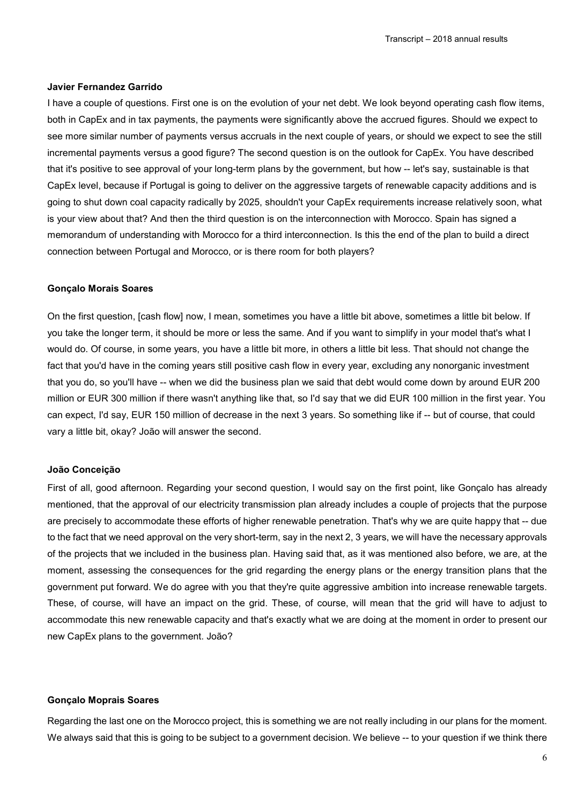#### Javier Fernandez Garrido

I have a couple of questions. First one is on the evolution of your net debt. We look beyond operating cash flow items, both in CapEx and in tax payments, the payments were significantly above the accrued figures. Should we expect to see more similar number of payments versus accruals in the next couple of years, or should we expect to see the still incremental payments versus a good figure? The second question is on the outlook for CapEx. You have described that it's positive to see approval of your long-term plans by the government, but how -- let's say, sustainable is that CapEx level, because if Portugal is going to deliver on the aggressive targets of renewable capacity additions and is going to shut down coal capacity radically by 2025, shouldn't your CapEx requirements increase relatively soon, what is your view about that? And then the third question is on the interconnection with Morocco. Spain has signed a memorandum of understanding with Morocco for a third interconnection. Is this the end of the plan to build a direct connection between Portugal and Morocco, or is there room for both players?

#### Gonçalo Morais Soares

On the first question, [cash flow] now, I mean, sometimes you have a little bit above, sometimes a little bit below. If you take the longer term, it should be more or less the same. And if you want to simplify in your model that's what I would do. Of course, in some years, you have a little bit more, in others a little bit less. That should not change the fact that you'd have in the coming years still positive cash flow in every year, excluding any nonorganic investment that you do, so you'll have -- when we did the business plan we said that debt would come down by around EUR 200 million or EUR 300 million if there wasn't anything like that, so I'd say that we did EUR 100 million in the first year. You can expect, I'd say, EUR 150 million of decrease in the next 3 years. So something like if -- but of course, that could vary a little bit, okay? João will answer the second.

#### João Conceição

First of all, good afternoon. Regarding your second question, I would say on the first point, like Gonçalo has already mentioned, that the approval of our electricity transmission plan already includes a couple of projects that the purpose are precisely to accommodate these efforts of higher renewable penetration. That's why we are quite happy that -- due to the fact that we need approval on the very short-term, say in the next 2, 3 years, we will have the necessary approvals of the projects that we included in the business plan. Having said that, as it was mentioned also before, we are, at the moment, assessing the consequences for the grid regarding the energy plans or the energy transition plans that the government put forward. We do agree with you that they're quite aggressive ambition into increase renewable targets. These, of course, will have an impact on the grid. These, of course, will mean that the grid will have to adjust to accommodate this new renewable capacity and that's exactly what we are doing at the moment in order to present our new CapEx plans to the government. João?

#### Gonçalo Moprais Soares

Regarding the last one on the Morocco project, this is something we are not really including in our plans for the moment. We always said that this is going to be subject to a government decision. We believe -- to your question if we think there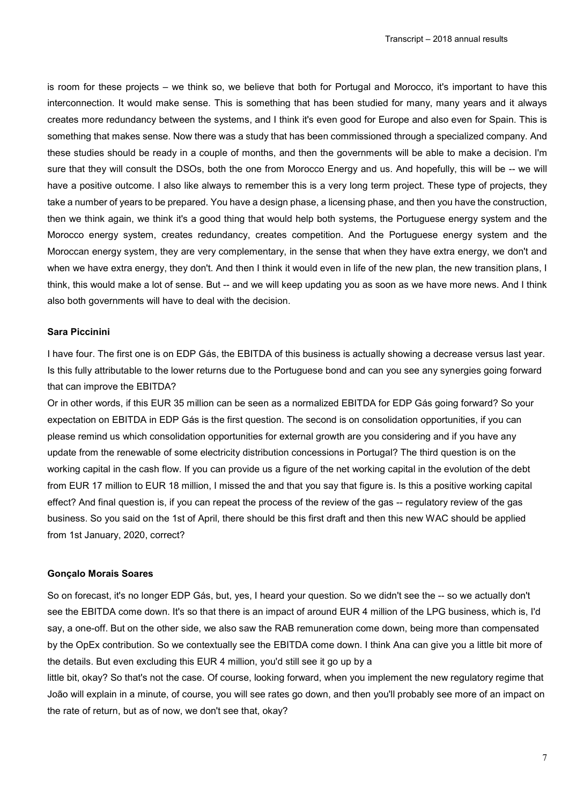is room for these projects – we think so, we believe that both for Portugal and Morocco, it's important to have this interconnection. It would make sense. This is something that has been studied for many, many years and it always creates more redundancy between the systems, and I think it's even good for Europe and also even for Spain. This is something that makes sense. Now there was a study that has been commissioned through a specialized company. And these studies should be ready in a couple of months, and then the governments will be able to make a decision. I'm sure that they will consult the DSOs, both the one from Morocco Energy and us. And hopefully, this will be -- we will have a positive outcome. I also like always to remember this is a very long term project. These type of projects, they take a number of years to be prepared. You have a design phase, a licensing phase, and then you have the construction, then we think again, we think it's a good thing that would help both systems, the Portuguese energy system and the Morocco energy system, creates redundancy, creates competition. And the Portuguese energy system and the Moroccan energy system, they are very complementary, in the sense that when they have extra energy, we don't and when we have extra energy, they don't. And then I think it would even in life of the new plan, the new transition plans, I think, this would make a lot of sense. But -- and we will keep updating you as soon as we have more news. And I think also both governments will have to deal with the decision.

#### Sara Piccinini

I have four. The first one is on EDP Gás, the EBITDA of this business is actually showing a decrease versus last year. Is this fully attributable to the lower returns due to the Portuguese bond and can you see any synergies going forward that can improve the EBITDA?

Or in other words, if this EUR 35 million can be seen as a normalized EBITDA for EDP Gás going forward? So your expectation on EBITDA in EDP Gás is the first question. The second is on consolidation opportunities, if you can please remind us which consolidation opportunities for external growth are you considering and if you have any update from the renewable of some electricity distribution concessions in Portugal? The third question is on the working capital in the cash flow. If you can provide us a figure of the net working capital in the evolution of the debt from EUR 17 million to EUR 18 million, I missed the and that you say that figure is. Is this a positive working capital effect? And final question is, if you can repeat the process of the review of the gas -- regulatory review of the gas business. So you said on the 1st of April, there should be this first draft and then this new WAC should be applied from 1st January, 2020, correct?

#### Gonçalo Morais Soares

So on forecast, it's no longer EDP Gás, but, yes, I heard your question. So we didn't see the -- so we actually don't see the EBITDA come down. It's so that there is an impact of around EUR 4 million of the LPG business, which is, I'd say, a one-off. But on the other side, we also saw the RAB remuneration come down, being more than compensated by the OpEx contribution. So we contextually see the EBITDA come down. I think Ana can give you a little bit more of the details. But even excluding this EUR 4 million, you'd still see it go up by a

little bit, okay? So that's not the case. Of course, looking forward, when you implement the new regulatory regime that João will explain in a minute, of course, you will see rates go down, and then you'll probably see more of an impact on the rate of return, but as of now, we don't see that, okay?